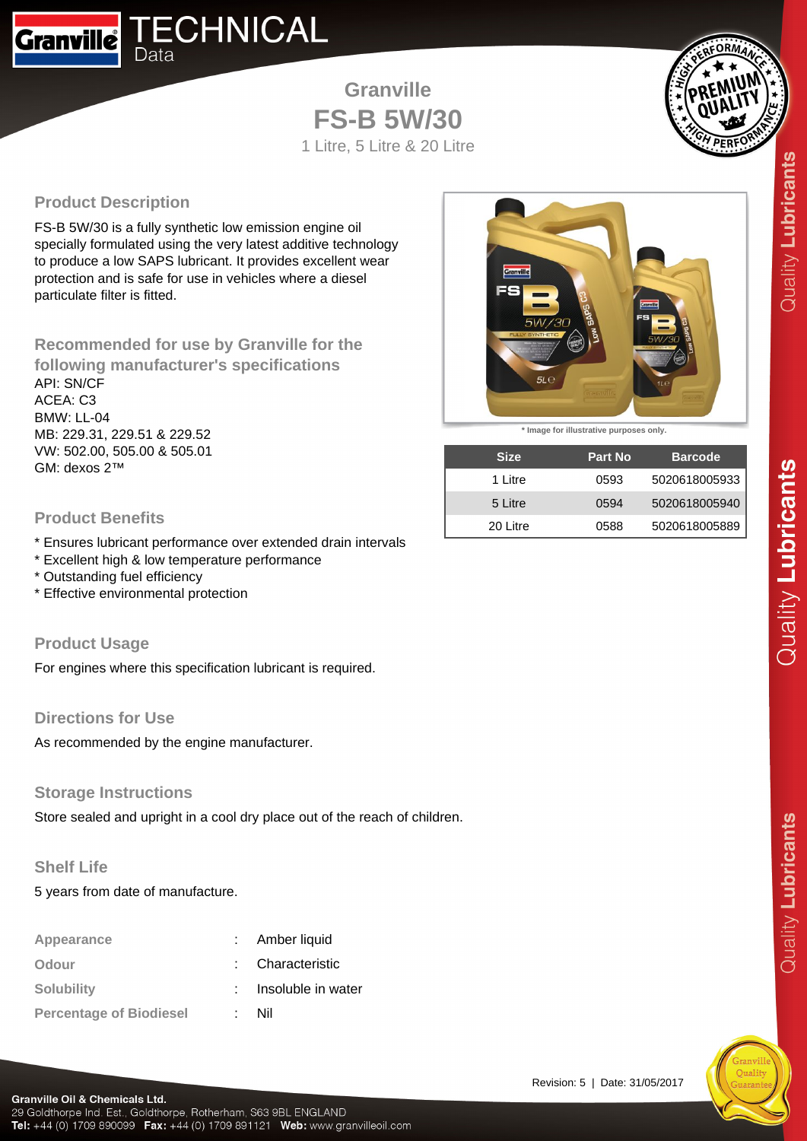

**Granville FS-B 5W/30** 1 Litre, 5 Litre & 20 Litre



## **Product Description**

FS-B 5W/30 is a fully synthetic low emission engine oil specially formulated using the very latest additive technology to produce a low SAPS lubricant. It provides excellent wear protection and is safe for use in vehicles where a diesel particulate filter is fitted.

**Recommended for use by Granville for the following manufacturer's specifications** API: SN/CF ACEA: C3 BMW: LL-04 MB: 229.31, 229.51 & 229.52 VW: 502.00, 505.00 & 505.01 GM: dexos 2™

#### **Product Benefits**

- \* Ensures lubricant performance over extended drain intervals
- \* Excellent high & low temperature performance
- \* Outstanding fuel efficiency
- \* Effective environmental protection

#### **Product Usage**

For engines where this specification lubricant is required.

#### **Directions for Use**

As recommended by the engine manufacturer.

#### **Storage Instructions**

Store sealed and upright in a cool dry place out of the reach of children.

### **Shelf Life**

5 years from date of manufacture.

| Appearance                     | Amber liquid       |
|--------------------------------|--------------------|
| Odour                          | Characteristic     |
| <b>Solubility</b>              | Insoluble in water |
| <b>Percentage of Biodiesel</b> | Nil                |



**\* Image for illustrative purposes only.**

| <b>Size</b> | <b>Part No</b> | <b>Barcode</b> |
|-------------|----------------|----------------|
| 1 Litre     | 0593           | 5020618005933  |
| 5 Litre     | 0594           | 5020618005940  |
| 20 Litre    | 0588           | 5020618005889  |